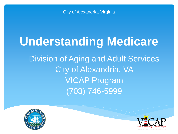City of Alexandria, Virginia

# **Understanding Medicare** Division of Aging and Adult Services City of Alexandria, VA VICAP Program (703) 746-5999



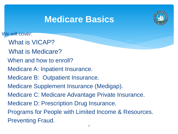## **Medicare Basics**



We will cover:

- What is VICAP?
- What is Medicare?
- When and how to enroll?
- Medicare A: Inpatient Insurance.
- Medicare B: Outpatient Insurance.
- Medicare Supplement Insurance (Medigap).
- Medicare C: Medicare Advantage Private Insurance.
- Medicare D: Prescription Drug Insurance.
- Programs for People with Limited Income & Resources. Preventing Fraud.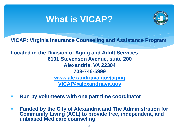## **What is VICAP?**



**VICAP: Virginia Insurance Counseling and Assistance Program**

**Located in the Division of Aging and Adult Services 6101 Stevenson Avenue, suite 200 Alexandria, VA 22304 703-746-5999 [www.alexandriava.gov/aging](http://www.alexandriava.gov/aging) [VICAP@alexandriava.gov](mailto:DAAS@alexandriava.gov)**

- **Run by volunteers with one part time coordinator**
- **Funded by the City of Alexandria and The Administration for Community Living (ACL) to provide free, independent, and unbiased Medicare counseling**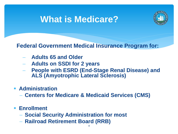### **What is Medicare?**



**Federal Government Medical Insurance Program for:**

- − **Adults 65 and Older**
- − **Adults on SSDI for 2 years**
- − **People with ESRD (End-Stage Renal Disease) and ALS (Amyotrophic Lateral Sclerosis)**
- **Administration**
	- − **Centers for Medicare & Medicaid Services (CMS)**
- **Enrollment** 
	- − **Social Security Administration for most**
	- − **Railroad Retirement Board (RRB)**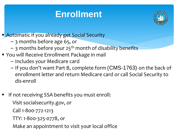## **Enrollment**



**E** Automatic if you already get Social Security

- 3 months before age 65, or
- $-$  3 months before your 25<sup>th</sup> month of disability benefits
- You will Receive Enrollment Package in mail
	- Includes your Medicare card
	- If you don't want Part B, complete form (CMS-1763) on the back of enrollment letter and return Medicare card or call Social Security to dis-enroll
- If not receiving SSA benefits you must enroll:

Visit socialsecurity.gov, or

Call 1-800-772-1213

TTY: 1-800-325-0778, or

Make an appointment to visit your local office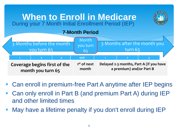#### **When to Enroll in Medicare During your 7 Month Initial Enrollment Period (IEP)**



#### **7-Month Period**



- Can enroll in premium-free Part A anytime after IEP begins
- Can only enroll in Part B (and premium Part A) during IEP and other limited times
- May have a lifetime penalty if you don't enroll during IEP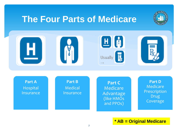#### **The Four Parts of Medicare**





7 **\* AB = Original Medicare**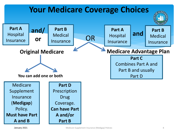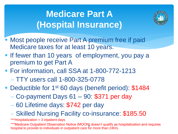# **Medicare Part A (Hospital Insurance)**



- Most people receive Part A premium free if paid Medicare taxes for at least 10 years.
- **.** If fewer than 10 years of employment, you pay a premium to get Part A
- For information, call SSA at 1-800-772-1213
	- − TTY users call 1-800-325-0778
- Deductible for 1<sup>st</sup> 60 days (benefit period): \$1484
	- − Co-payment Days 61 90: \$371 per day
	- − 60 Lifetime days: \$742 per day
	- − Skilled Nursing Facility co-insurance: \$185.50

\*\*\*Hospitalization = 3 inpatient days

\*\*\*Medicare Outpatient Observation Notice (MOON) doesn't qualify as hospitalization and requires hospital to provide to individuals in outpatient care for more than 24hrs.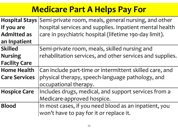## **Medicare Part A Helps Pay For**

| <b>Hospital Stays</b> | Semi-private room, meals, general nursing, and other      |
|-----------------------|-----------------------------------------------------------|
| If you are            | hospital services and supplies. Inpatient mental health   |
| <b>Admitted as</b>    | care in psychiatric hospital (lifetime 190-day limit).    |
| an Inpatient          |                                                           |
| <b>Skilled</b>        | Semi-private room, meals, skilled nursing and             |
| <b>Nursing</b>        | rehabilitation services, and other services and supplies. |
| <b>Facility Care</b>  |                                                           |
| <b>Home Health</b>    | Can include part-time or intermittent skilled care, and   |
| <b>Care Services</b>  | physical therapy, speech-language pathology, and          |
|                       | occupational therapy.                                     |
| <b>Hospice Care</b>   | Includes drugs, medical, and support services from a      |
|                       | Medicare-approved hospice.                                |
| <b>Blood</b>          | In most cases, if you need blood as an inpatient, you     |
|                       | won't have to pay for it or replace it.                   |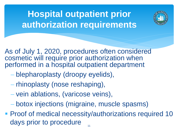# **Hospital outpatient prior authorization requirements**



As of July 1, 2020, procedures often considered cosmetic will require prior authorization when performed in a hospital outpatient department

- − blepharoplasty (droopy eyelids),
- − rhinoplasty (nose reshaping),
- − vein ablations, (varicose veins),
- − botox injections (migraine, muscle spasms)
- **Proof of medical necessity/authorizations required 10** days prior to procedure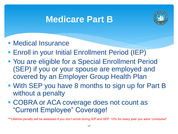## **Medicare Part B**



- Medical Insurance
- **Enroll in your Initial Enrollment Period (IEP)**
- You are eligible for a Special Enrollment Period (SEP) if you or your spouse are employed and covered by an Employer Group Health Plan
- With SEP you have 8 months to sign up for Part B without a penalty
- COBRA or ACA coverage does not count as "Current Employee" Coverage!

\*\*\*Lifetime penalty will be assessed if you don't enroll during IEP and SEP: 10% for every year you were "uninsured"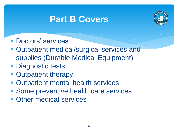## **Part B Covers**



- Doctors' services
- Outpatient medical/surgical services and supplies (Durable Medical Equipment)
- **Diagnostic tests**
- **Outpatient therapy**
- Outpatient mental health services
- Some preventive health care services
- Other medical services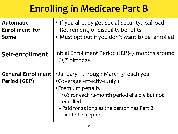# **Enrolling in Medicare Part B**

| <b>Automatic</b><br><b>Enrollment</b> for<br>Some | If you already get Social Security, Railroad<br>Retirement, or disability benefits<br>" Must opt out if you don't want to be enrolled                                                                                                  |
|---------------------------------------------------|----------------------------------------------------------------------------------------------------------------------------------------------------------------------------------------------------------------------------------------|
| Self-enrollment                                   | Initial Enrollment Period (IEP)- 7 months around<br>$65th$ birthday                                                                                                                                                                    |
| <b>General Enrollment</b><br>Period (GEP)         | <b>January 1 through March 31 each year</b><br>"Coverage effective July 1<br><b>Premium penalty</b><br>-10% for each 12-month period eligible but not<br>enrolled<br>-Paid for as long as the person has Part B<br>-Limited exceptions |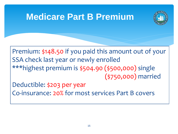#### **Medicare Part B Premium**



Premium: \$148.50 if you paid this amount out of your SSA check last year or newly enrolled \*\*\*highest premium is \$504.90 (\$500,000) single (\$750,000) married

Deductible: \$203 per year Co-insurance: 20% for most services Part B covers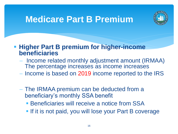### **Medicare Part B Premium**



**EXTE: Higher Part B premium for higher-income beneficiaries**

- Income related monthly adjustment amount (IRMAA) The percentage increases as income increases
- − Income is based on 2019 income reported to the IRS
- − The IRMAA premium can be deducted from a beneficiary's monthly SSA benefit
	- **EXECTE: Beneficiaries will receive a notice from SSA**
	- **.** If it is not paid, you will lose your Part B coverage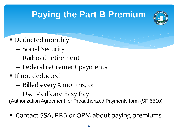# **Paying the Part B Premium**



- Deducted monthly
	- Social Security
	- Railroad retirement
	- Federal retirement payments
- **If not deducted** 
	- Billed every 3 months, or
	- Use Medicare Easy Pay

(Authorization Agreement for Preauthorized Payments form (SF-5510)

■ Contact SSA, RRB or OPM about paying premiums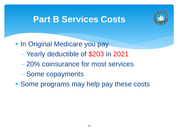## **Part B Services Costs**



- **In Original Medicare you pay** 
	- − Yearly deductible of \$203 in 2021
	- − 20% coinsurance for most services
	- − Some copayments
- Some programs may help pay these costs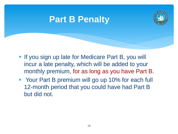#### **Part B Penalty**



- **.** If you sign up late for Medicare Part B, you will incur a late penalty, which will be added to your monthly premium, for as long as you have Part B.
- Your Part B premium will go up 10% for each full 12-month period that you could have had Part B but did not.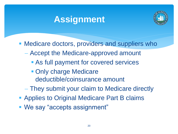## **Assignment**



**• Medicare doctors, providers and suppliers who** 

- − Accept the Medicare-approved amount
	- As full payment for covered services
	- **Only charge Medicare** deductible/coinsurance amount
- − They submit your claim to Medicare directly
- **Applies to Original Medicare Part B claims**
- We say "accepts assignment"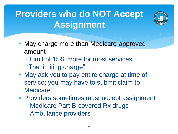# **Providers who do NOT Accept Assignment**



- May charge more than Medicare-approved amount
	- − Limit of 15% more for most services: "The limiting charge"
- May ask you to pay entire charge at time of service; you may have to submit claim to **Medicare**
- **Providers sometimes must accept assignment** 
	- − Medicare Part B-covered Rx drugs
	- − Ambulance providers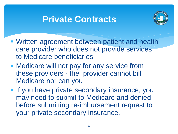### **Private Contracts**



- **Written agreement between patient and health** care provider who does not provide services to Medicare beneficiaries
- Medicare will not pay for any service from these providers - the provider cannot bill Medicare nor can you
- **.** If you have private secondary insurance, you may need to submit to Medicare and denied before submitting re-imbursement request to your private secondary insurance.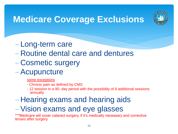

## **Medicare Coverage Exclusions**

- − Long-term care
- − Routine dental care and dentures
- − Cosmetic surgery
- −Acupuncture
	- some exceptions
	- Chronic pain as defined by CMS
	- 12 session in a 90- day period with the possibility of 8 additional sessions annually
- − Hearing exams and hearing aids
- −Vision exams and eye glasses

\*\*\*Medicare will cover cataract surgery, if it's medically necessary and corrective lenses after surgery.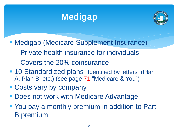# **Medigap**



- **Medigap (Medicare Supplement Insurance)** 
	- − Private health insurance for individuals
	- − Covers the 20% coinsurance
- 10 Standardized plans- Identified by letters (Plan A, Plan B, etc.) (see page 71 "Medicare & You")
- **EXCOSTS vary by company**
- Does not work with Medicare Advantage
- You pay a monthly premium in addition to Part B premium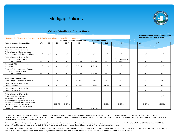#### Medigap Policies



#### **What Medigap Plans Cover**

#### Note: A Check  $\checkmark$  means 100% of the benefit in paid.

|                                                                                                        |              |              |              |                |              | <b>Plans Available to All Applicants</b> |              |                                     | $\mathbf{C}$ |                |
|--------------------------------------------------------------------------------------------------------|--------------|--------------|--------------|----------------|--------------|------------------------------------------|--------------|-------------------------------------|--------------|----------------|
| <b>Medigap Benefits</b>                                                                                | $\mathbf{A}$ | в            | D            | G <sup>1</sup> | К            | г                                        | <b>M</b>     | $\overline{\mathbf{N}}$             |              | E <sup>1</sup> |
|                                                                                                        |              |              |              |                |              |                                          |              |                                     |              |                |
| <b>Medicare Part A</b><br>Coinsurance and<br>Medigap Coverage<br>for hospital benefits                 | $\checkmark$ | $\checkmark$ | $\checkmark$ | $\checkmark$   | $\checkmark$ | $\checkmark$                             | $\checkmark$ | ✓                                   | $\checkmark$ | $\checkmark$   |
| <b>Medicare Part B</b><br>Coinsurance and<br>Copayment                                                 | $\checkmark$ | $\checkmark$ | $\checkmark$ | ✓              | 50%          | 75%                                      | $\checkmark$ | $\checkmark$<br>copays<br>apply $3$ | ✓            |                |
| <b>Blood (first three</b><br>pints)                                                                    | $\checkmark$ | $\checkmark$ | $\checkmark$ | $\checkmark$   | 50%          | 75%                                      | $\checkmark$ | $\checkmark$                        | $\checkmark$ |                |
| Part A Hospice Care<br>Coinsurance or<br>Copayment                                                     | $\checkmark$ | $\checkmark$ | $\checkmark$ | $\checkmark$   | 50%          | 75%                                      | $\checkmark$ | $\checkmark$                        | $\checkmark$ | $\checkmark$   |
| <b>Skilled Nursing</b><br><b>Facility Coinsurance</b>                                                  |              |              | $\checkmark$ | $\checkmark$   | 50%          | 75%                                      | $\checkmark$ | $\checkmark$                        | $\checkmark$ | $\checkmark$   |
| <b>Medicare Part A</b><br>Deductible                                                                   |              | $\checkmark$ | $\checkmark$ | $\checkmark$   | 50%          | 75%                                      | 50%          | $\checkmark$                        | $\checkmark$ | $\checkmark$   |
| <b>Medicare Part B</b><br>Deductible                                                                   |              |              |              |                |              |                                          |              |                                     | $\checkmark$ |                |
| <b>Medicare Part B</b><br><b>Excess Charges</b>                                                        |              |              |              | $\checkmark$   |              |                                          |              |                                     |              | ✓              |
| <b>Foreign Travel</b><br>Emergency (up to plan<br>limits - \$50,000) Separate<br>deductible \$250/year |              |              | 80%          | 80%            |              |                                          | 80%          | 80%                                 | 80%          | 80%            |
| 2021 Out of Pocket<br>Limits                                                                           |              |              |              |                | 256220       | 253110                                   |              |                                     |              |                |

#### **Medicare first eligible before 2020 only**

<sup>1</sup> Plans F and G also offer a high-deductible plan in some states. With this option, you must pay for Medicarecovered costs (coinsurance, copayments, and deductibles) up to the deductible amount of \$2,340 in 2020 before your policy pays anything.

² Plans K and L, after you meet your out-of-pocket yearly limit and your yearly Part B deductible (\$203 in 2021), the Medigap plan pays 100% of covered services for the rest of the calendar year.

<sup>3</sup> Plan N pays 100% of the Part B coinsurance. You must pay a copayment of up to \$20 for some office visits and up to a \$50 copayment for emergency room visits that don't result in an inpatient admission.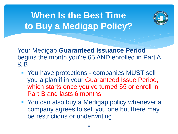**When Is the Best Time to Buy a Medigap Policy?**



- − Your Medigap **Guaranteed Issuance Period**  begins the month you're 65 AND enrolled in Part A & B
	- You have protections companies MUST sell you a plan if in your Guaranteed Issue Period, which starts once you've turned 65 or enroll in Part B and lasts 6 months
	- You can also buy a Medigap policy whenever a company agrees to sell you one but there may be restrictions or underwriting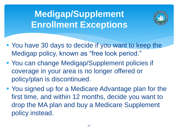# **Medigap/Supplement Enrollment Exceptions**



- You have 30 days to decide if you want to keep the Medigap policy, known as "free look period."
- You can change Medigap/Supplement policies if coverage in your area is no longer offered or policy/plan is discontinued.
- You signed up for a Medicare Advantage plan for the first time, and within 12 months, decide you want to drop the MA plan and buy a Medicare Supplement policy instead.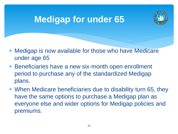## **Medigap for under 65**



- **Medigap is now available for those who have Medicare** under age 65
- **EXA** Beneficiaries have a new six-month open enrollment period to purchase any of the standardized Medigap plans.
- **When Medicare beneficiaries due to disability turn 65, they** have the same options to purchase a Medigap plan as everyone else and wider options for Medigap policies and premiums.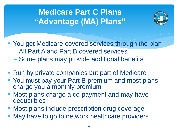## **Medicare Part C Plans "Advantage (MA) Plans"**



■ You get Medicare-covered services through the plan − All Part A and Part B covered services

- − Some plans may provide additional benefits
- Run by private companies but part of Medicare
- You must pay your Part B premium and most plans charge you a monthly premium
- Most plans charge a co-payment and may have deductibles
- **Most plans include prescription drug coverage**
- May have to go to network healthcare providers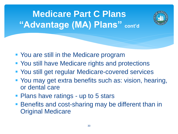



- You are still in the Medicare program
- You still have Medicare rights and protections
- You still get regular Medicare-covered services
- You may get extra benefits such as: vision, hearing, or dental care
- Plans have ratings up to 5 stars
- **Benefits and cost-sharing may be different than in** Original Medicare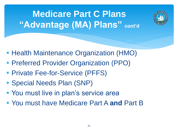**Medicare Part C Plans "Advantage (MA) Plans" cont'd**



- **Health Maintenance Organization (HMO)**
- Preferred Provider Organization (PPO)
- **Private Fee-for-Service (PFFS)**
- Special Needs Plan (SNP)
- You must live in plan's service area
- You must have Medicare Part A **and** Part B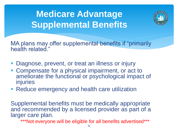# **Medicare Advantage Supplemental Benefits**



MA plans may offer supplemental benefits if "primarily" health related."

- **Diagnose, prevent, or treat an illness or injury**
- Compensate for a physical impairment, or act to ameliorate the functional or psychological impact of injuries
- Reduce emergency and health care utilization

Supplemental benefits must be medically appropriate and recommended by a licensed provider as part of a larger care plan.

\*\*\*Not everyone will be eligible for all benefits advertised\*\*\*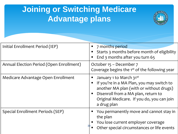## **Joining or Switching Medicare Advantage plans**



| Initial Enrollment Period (IEP)          | 7 months period<br>Starts 3 months before month of eligibility<br>End 3 months after you turn 65                                                                                                                                |
|------------------------------------------|---------------------------------------------------------------------------------------------------------------------------------------------------------------------------------------------------------------------------------|
| Annual Election Period (Open Enrollment) | October 15 – December 7<br>Coverage begins the 1 <sup>st</sup> of the following year                                                                                                                                            |
| Medicare Advantage Open Enrollment       | January 1 to March 31 <sup>st</sup><br>If you're in a MA Plan, you may switch to<br>another MA plan (with or without drugs)<br>Disenroll from a MA plan, return to<br>Original Medicare. If you do, you can join<br>a drug plan |
| Special Enrollment Periods (SEP)         | You permanently move and cannot stay in<br>the plan<br>You lose current employer coverage<br>Other special circumstances or life events                                                                                         |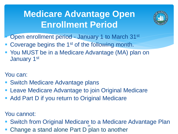# **Medicare Advantage Open Enrollment Period**



- Open enrollment period January 1 to March 31<sup>st</sup>
- Coverage begins the 1<sup>st</sup> of the following month.
- You MUST be in a Medicare Advantage (MA) plan on January 1st

#### You can:

- Switch Medicare Advantage plans
- Leave Medicare Advantage to join Original Medicare
- Add Part D if you return to Original Medicare

#### You cannot:

- Switch from Original Medicare to a Medicare Advantage Plan 34
- **Change a stand alone Part D plan to another**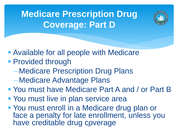**Medicare Prescription Drug Coverage: Part D**



- Available for all people with Medicare
- **Provided through** 
	- − Medicare Prescription Drug Plans
	- − Medicare Advantage Plans
- You must have Medicare Part A and / or Part B
- You must live in plan service area
- You must enroll in a Medicare drug plan or face a penalty for late enrollment, unless you have creditable drug coverage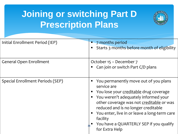# **Joining or switching Part D Prescription Plans**



| " You lose your creditable drug coverage |  |
|------------------------------------------|--|
|------------------------------------------|--|

- You weren't adequately informed your other coverage was not creditable or was reduced and is no longer creditable
- You enter, live in or leave a long-term care facility
- You have a QUARTERLY SEP if you qualify for Extra Help 36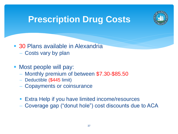

## **Prescription Drug Costs**

- 30 Plans available in Alexandria − Costs vary by plan
- Most people will pay:
	- − Monthly premium of between \$7.30-\$85.50
	- − Deductible (\$445 limit)
	- − Copayments or coinsurance
	- Extra Help if you have limited income/resources
	- − Coverage gap ("donut hole") cost discounts due to ACA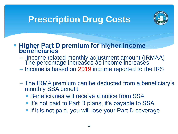## **Prescription Drug Costs**



**EXTE: Higher Part D premium for higher-income beneficiaries**

- − Income related monthly adjustment amount (IRMAA) The percentage increases as income increases
- Income is based on 2019 income reported to the IRS
- − The IRMA premium can be deducted from a beneficiary's monthly SSA benefit
	- **EXAMPLE Beneficiaries will receive a notice from SSA**
	- **.** It's not paid to Part D plans, it's payable to SSA
	- **. If it is not paid, you will lose your Part D coverage**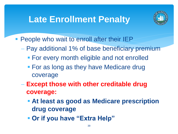## **Late Enrollment Penalty**



- People who wait to enroll after their IEP
	- − Pay additional 1% of base beneficiary premium
		- **For every month eligible and not enrolled**
		- For as long as they have Medicare drug coverage
	- − **Except those with other creditable drug coverage:**
		- **Example 2 Figure 1 At least as good as Medicare prescription drug coverage**
		- $\blacksquare$  **Or if you have "Extra Help"**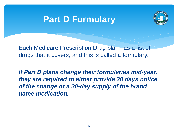#### **Part D Formulary**



Each Medicare Prescription Drug plan has a list of drugs that it covers, and this is called a formulary.

*If Part D plans change their formularies mid-year, they are required to either provide 30 days notice of the change or a 30-day supply of the brand name medication.*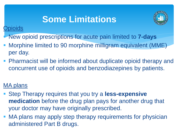# **Some Limitations**



#### Opioids

- New opioid prescriptions for acute pain limited to **7-days**
- Morphine limited to 90 morphine milligram equivalent (MME) per day.
- **Pharmacist will be informed about duplicate opioid therapy and** concurrent use of opioids and benzodiazepines by patients.

#### MA plans

- Step Therapy requires that you try a **less-expensive medication** before the drug plan pays for another drug that your doctor may have originally prescribed.
- MA plans may apply step therapy requirements for physician administered Part B drugs.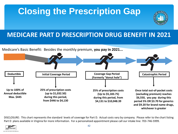# **Closing the Prescription Gap**



#### **MEDICARE PART D PRESCRIPTION DRUG BENEFIT IN 2021**



DISCLOSURE: This chart represents the standard levels of coverage for Part D. Actual costs vary by company. Please refer to the chart listing Part D plans available in Virginia for more information. For a personalized appointment please call our intake line: 703-746-5999.

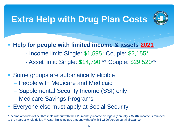# **Extra Help with Drug Plan Costs**



**Help for people with limited income & assets 2021** 

- Income limit: Single: \$1,595\* Couple: \$2,155\*
- Asset limit: Single: \$14,790 \*\* Couple: \$29,520\*\*
- Some groups are automatically eligible
	- − People with Medicare and Medicaid
	- Supplemental Security Income (SSI) only
	- − Medicare Savings Programs
- Everyone else must apply at Social Security

\* Income amounts reflect threshold without/with the \$20 monthly income disregard (annually = \$240); income is rounded to the nearest whole dollar. \*\* Asset limits include amount without/with \$1,500/person burial allowance.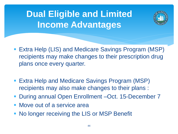# **Dual Eligible and Limited Income Advantages**



- Extra Help (LIS) and Medicare Savings Program (MSP) recipients may make changes to their prescription drug plans once every quarter.
- Extra Help and Medicare Savings Program (MSP) recipients may also make changes to their plans :
- During annual Open Enrollment –Oct. 15-December 7
- Move out of a service area
- No longer receiving the LIS or MSP Benefit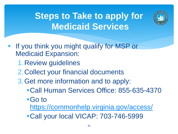# **Steps to Take to apply for Medicaid Services**



- If you think you might qualify for MSP or Medicaid Expansion:
	- 1.Review guidelines
	- 2.Collect your financial documents
	- 3.Get more information and to apply:
		- ▪Call Human Services Office: 855-635-4370
		- ■Go to
			- <https://commonhelp.virginia.gov/access/>
		- Call your local VICAP: 703-746-5999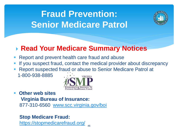# **Fraud Prevention: Senior Medicare Patrol**



#### **Read Your Medicare Summary Notices**

- Report and prevent health care fraud and abuse
- If you suspect fraud, contact the medical provider about discrepancy
- Report suspected fraud or abuse to Senior Medicare Patrol at 1-800-938-8885 **VIRGINIA**



**Other web sites Virginia Bureau of Insurance:**  877-310-6560 [www.scc.virginia.gov/boi](http://www.scc.virginia.gov/boi)

#### **Stop Medicare Fraud:**

<https://stopmedicarefraud.org/>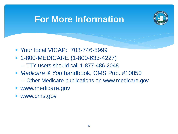### **For More Information**



- Your local VICAP: 703-746-5999
- 1-800-MEDICARE (1-800-633-4227) − TTY users should call 1-877-486-2048
- *Medicare & You* handbook, CMS Pub. #10050
	- Other Medicare publications on www.medicare.gov
- www.medicare.gov
- www.cms.gov